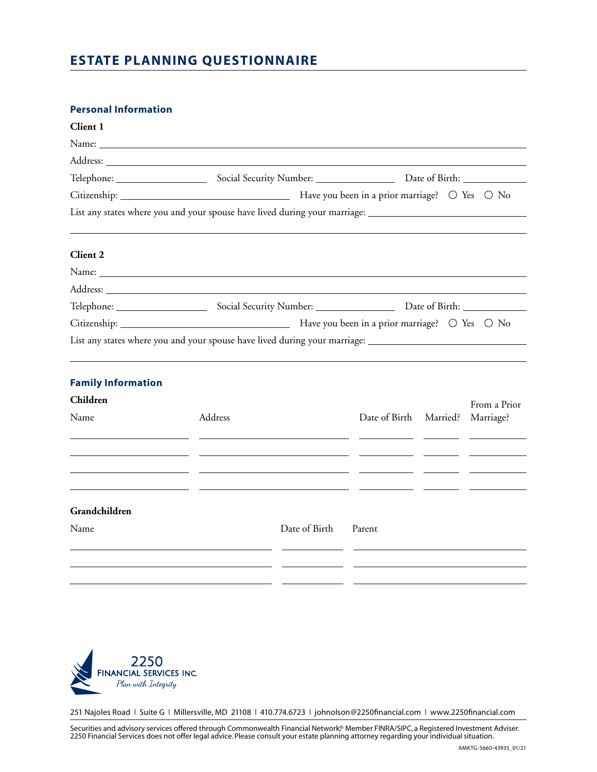# **ESTATE PLANNING QUESTIONNAIRE**

## **Personal Information**

| Client 1                                                            |                                                                                                                |                                                                                                |                        |  |              |  |
|---------------------------------------------------------------------|----------------------------------------------------------------------------------------------------------------|------------------------------------------------------------------------------------------------|------------------------|--|--------------|--|
|                                                                     |                                                                                                                |                                                                                                |                        |  |              |  |
|                                                                     |                                                                                                                |                                                                                                |                        |  |              |  |
|                                                                     |                                                                                                                |                                                                                                |                        |  |              |  |
|                                                                     |                                                                                                                |                                                                                                |                        |  |              |  |
|                                                                     | List any states where you and your spouse have lived during your marriage: ___________________________________ |                                                                                                |                        |  |              |  |
| <b>Client 2</b>                                                     |                                                                                                                |                                                                                                |                        |  |              |  |
|                                                                     |                                                                                                                |                                                                                                |                        |  |              |  |
|                                                                     |                                                                                                                |                                                                                                |                        |  |              |  |
|                                                                     |                                                                                                                |                                                                                                |                        |  |              |  |
|                                                                     |                                                                                                                |                                                                                                |                        |  |              |  |
|                                                                     | List any states where you and your spouse have lived during your marriage: _________________________           |                                                                                                |                        |  |              |  |
| <b>Family Information</b>                                           |                                                                                                                |                                                                                                |                        |  |              |  |
| Children                                                            |                                                                                                                |                                                                                                |                        |  | From a Prior |  |
| Name                                                                | Address                                                                                                        | and the state of the state of the state of the state of the state of the state of the state of | Date of Birth Married? |  | Marriage?    |  |
| <u> 1989 - Johann Stein, mars an deus Amerikaansk kommunister (</u> |                                                                                                                | <u> 1980 - Jan Barnett, fransk politik (d. 19</u>                                              |                        |  |              |  |
| Grandchildren                                                       |                                                                                                                |                                                                                                |                        |  |              |  |
| Name                                                                |                                                                                                                | Date of Birth                                                                                  | Parent                 |  |              |  |
|                                                                     |                                                                                                                |                                                                                                |                        |  |              |  |



251 Najoles Road | Suite G | Millersville, MD 21108 | 410.774.6723 | johnolson@2250financial.com | www.2250financial.com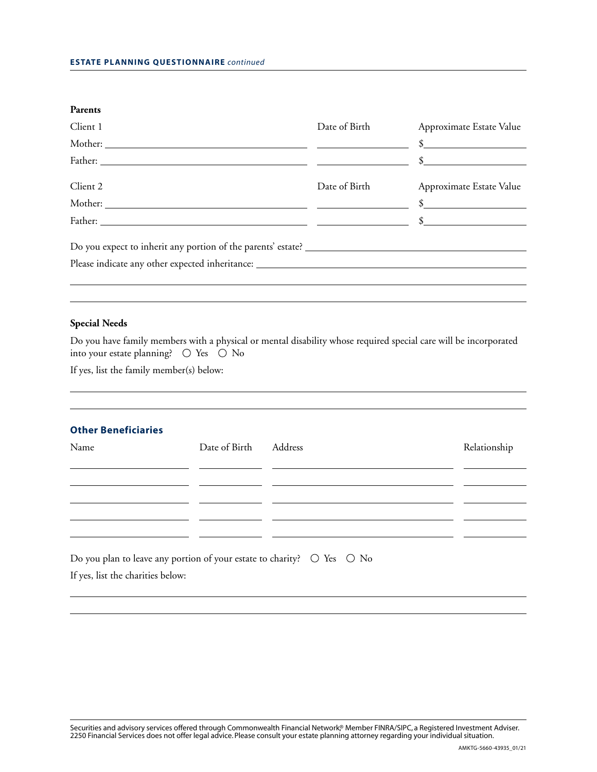| <b>Parents</b>                                                                    |               |                                                                                                                                                                                                                                                                                                                     |
|-----------------------------------------------------------------------------------|---------------|---------------------------------------------------------------------------------------------------------------------------------------------------------------------------------------------------------------------------------------------------------------------------------------------------------------------|
| Client 1                                                                          | Date of Birth | Approximate Estate Value                                                                                                                                                                                                                                                                                            |
|                                                                                   |               |                                                                                                                                                                                                                                                                                                                     |
|                                                                                   |               | $\frac{1}{2}$ $\frac{1}{2}$ $\frac{1}{2}$ $\frac{1}{2}$ $\frac{1}{2}$ $\frac{1}{2}$ $\frac{1}{2}$ $\frac{1}{2}$ $\frac{1}{2}$ $\frac{1}{2}$ $\frac{1}{2}$ $\frac{1}{2}$ $\frac{1}{2}$ $\frac{1}{2}$ $\frac{1}{2}$ $\frac{1}{2}$ $\frac{1}{2}$ $\frac{1}{2}$ $\frac{1}{2}$ $\frac{1}{2}$ $\frac{1}{2}$ $\frac{1}{2}$ |
| Client 2                                                                          | Date of Birth | Approximate Estate Value                                                                                                                                                                                                                                                                                            |
|                                                                                   |               |                                                                                                                                                                                                                                                                                                                     |
|                                                                                   |               | $\frac{1}{2}$                                                                                                                                                                                                                                                                                                       |
|                                                                                   |               |                                                                                                                                                                                                                                                                                                                     |
| Please indicate any other expected inheritance: _________________________________ |               |                                                                                                                                                                                                                                                                                                                     |
|                                                                                   |               |                                                                                                                                                                                                                                                                                                                     |
|                                                                                   |               |                                                                                                                                                                                                                                                                                                                     |

#### **Special Needs**

Do you have family members with a physical or mental disability whose required special care will be incorporated into your estate planning?  $\circlearrowright$  Yes  $\circlearrowright$  No

If yes, list the family member(s) below:

#### **Other Beneficiaries**

| Name                                                                               | Date of Birth | Address | Relationship |
|------------------------------------------------------------------------------------|---------------|---------|--------------|
|                                                                                    |               |         |              |
|                                                                                    |               |         |              |
|                                                                                    |               |         |              |
| Do you plan to leave any portion of your estate to charity? $\circ$ Yes $\circ$ No |               |         |              |

If yes, list the charities below: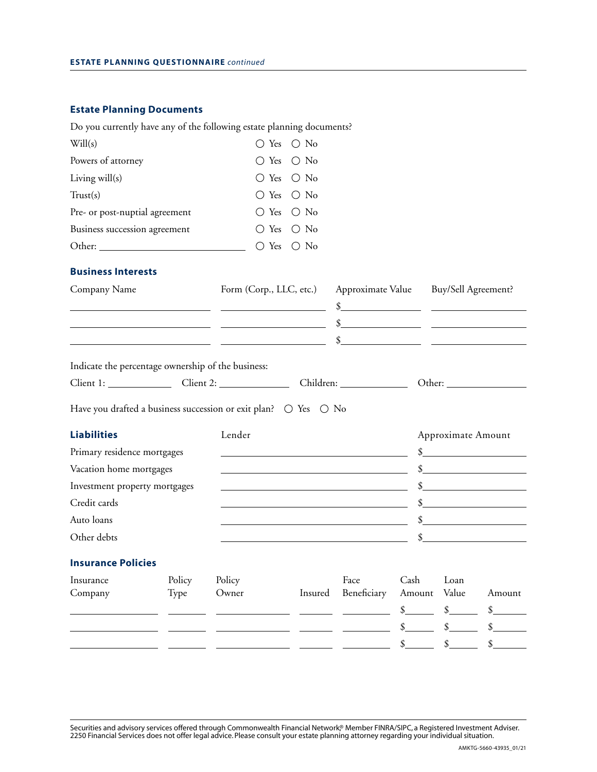# **Estate Planning Documents**

|                                                    |        | Do you currently have any of the following estate planning documents?                                                 |                         |                                                                                                                                                                                                                                                                                                                     |                                       |                    |                             |
|----------------------------------------------------|--------|-----------------------------------------------------------------------------------------------------------------------|-------------------------|---------------------------------------------------------------------------------------------------------------------------------------------------------------------------------------------------------------------------------------------------------------------------------------------------------------------|---------------------------------------|--------------------|-----------------------------|
| Will(s)                                            |        | $\bigcirc$ Yes                                                                                                        | $\bigcirc$ No           |                                                                                                                                                                                                                                                                                                                     |                                       |                    |                             |
| Powers of attorney                                 |        | $\bigcirc$ Yes                                                                                                        | $\bigcirc$ No           |                                                                                                                                                                                                                                                                                                                     |                                       |                    |                             |
| Living will(s)                                     |        | $\bigcirc$ Yes                                                                                                        | $\bigcirc$ No           |                                                                                                                                                                                                                                                                                                                     |                                       |                    |                             |
| Trust(s)                                           |        | $\bigcirc$ Yes                                                                                                        | $\bigcirc$ No           |                                                                                                                                                                                                                                                                                                                     |                                       |                    |                             |
| Pre- or post-nuptial agreement                     |        | $\bigcirc$ Yes                                                                                                        | $\bigcirc$ No           |                                                                                                                                                                                                                                                                                                                     |                                       |                    |                             |
| Business succession agreement                      |        | $\bigcirc$ Yes                                                                                                        | $\bigcirc$ No           |                                                                                                                                                                                                                                                                                                                     |                                       |                    |                             |
|                                                    |        | $\bigcirc$ Yes                                                                                                        | $\bigcirc$ No           |                                                                                                                                                                                                                                                                                                                     |                                       |                    |                             |
| <b>Business Interests</b>                          |        |                                                                                                                       |                         |                                                                                                                                                                                                                                                                                                                     |                                       |                    |                             |
| Company Name                                       |        |                                                                                                                       | Form (Corp., LLC, etc.) |                                                                                                                                                                                                                                                                                                                     | Approximate Value Buy/Sell Agreement? |                    |                             |
|                                                    |        |                                                                                                                       |                         | $\frac{1}{2}$ $\frac{1}{2}$ $\frac{1}{2}$ $\frac{1}{2}$ $\frac{1}{2}$ $\frac{1}{2}$ $\frac{1}{2}$ $\frac{1}{2}$ $\frac{1}{2}$ $\frac{1}{2}$ $\frac{1}{2}$ $\frac{1}{2}$ $\frac{1}{2}$ $\frac{1}{2}$ $\frac{1}{2}$ $\frac{1}{2}$ $\frac{1}{2}$ $\frac{1}{2}$ $\frac{1}{2}$ $\frac{1}{2}$ $\frac{1}{2}$ $\frac{1}{2}$ |                                       |                    |                             |
|                                                    |        |                                                                                                                       |                         | $\frac{1}{2}$                                                                                                                                                                                                                                                                                                       |                                       |                    |                             |
|                                                    |        | <u> 1989 - Johann Marie Barn, mars an t-Amerikaansk kommunister (* 1918)</u>                                          |                         | $\frac{1}{2}$                                                                                                                                                                                                                                                                                                       |                                       |                    |                             |
| Indicate the percentage ownership of the business: |        |                                                                                                                       |                         |                                                                                                                                                                                                                                                                                                                     |                                       |                    |                             |
|                                                    |        |                                                                                                                       |                         |                                                                                                                                                                                                                                                                                                                     |                                       |                    |                             |
|                                                    |        |                                                                                                                       |                         |                                                                                                                                                                                                                                                                                                                     |                                       |                    |                             |
|                                                    |        | Have you drafted a business succession or exit plan? $\circ$ Yes $\circ$ No                                           |                         |                                                                                                                                                                                                                                                                                                                     |                                       |                    |                             |
| <b>Liabilities</b>                                 |        | Lender                                                                                                                |                         |                                                                                                                                                                                                                                                                                                                     |                                       | Approximate Amount |                             |
| Primary residence mortgages                        |        |                                                                                                                       |                         |                                                                                                                                                                                                                                                                                                                     |                                       |                    | $\frac{\text{I}}{\text{I}}$ |
| Vacation home mortgages                            |        | the control of the control of the control of the control of the control of the control of                             |                         |                                                                                                                                                                                                                                                                                                                     |                                       |                    | $\mathcal{S}$               |
| Investment property mortgages                      |        | the control of the control of the control of the control of the control of the control of                             |                         |                                                                                                                                                                                                                                                                                                                     |                                       |                    | $\sim$                      |
| Credit cards                                       |        | <u> 1989 - Johann Stoff, deutscher Stoff, der Stoff, der Stoff, der Stoff, der Stoff, der Stoff, der Stoff, der S</u> |                         |                                                                                                                                                                                                                                                                                                                     |                                       |                    | $\frac{\text{I}}{\text{I}}$ |
| Auto loans                                         |        |                                                                                                                       |                         |                                                                                                                                                                                                                                                                                                                     |                                       |                    | $\mathcal{S}$               |
| Other debts                                        |        |                                                                                                                       |                         |                                                                                                                                                                                                                                                                                                                     | \$                                    |                    |                             |
| <b>Insurance Policies</b>                          |        |                                                                                                                       |                         |                                                                                                                                                                                                                                                                                                                     |                                       |                    |                             |
| Insurance                                          | Policy | Policy                                                                                                                |                         | Face                                                                                                                                                                                                                                                                                                                | Cash                                  | Loan               |                             |
| Company                                            | Type   | Owner                                                                                                                 | Insured                 | Beneficiary                                                                                                                                                                                                                                                                                                         | Amount                                | Value              | Amount                      |
|                                                    |        |                                                                                                                       |                         |                                                                                                                                                                                                                                                                                                                     | \$                                    | $\frac{1}{2}$      | \$                          |
|                                                    |        |                                                                                                                       |                         |                                                                                                                                                                                                                                                                                                                     | \$                                    | \$                 |                             |
|                                                    |        |                                                                                                                       |                         |                                                                                                                                                                                                                                                                                                                     | $\mathcal{S}_{-}$                     | $\frac{1}{2}$      |                             |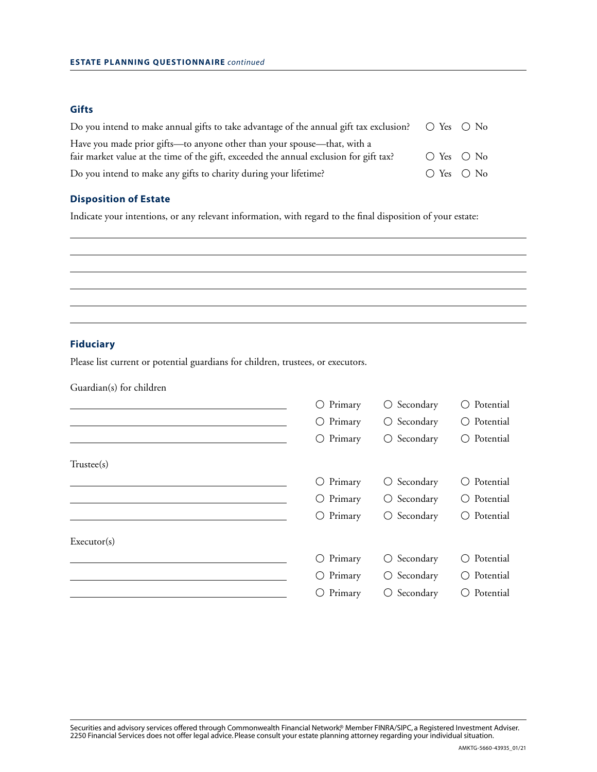## **Gifts**

| Do you intend to make annual gifts to take advantage of the annual gift tax exclusion? | $\bigcirc$ Yes $\bigcirc$ No |  |
|----------------------------------------------------------------------------------------|------------------------------|--|
| Have you made prior gifts—to anyone other than your spouse—that, with a                |                              |  |
| fair market value at the time of the gift, exceeded the annual exclusion for gift tax? | $\bigcirc$ Yes $\bigcirc$ No |  |
| Do you intend to make any gifts to charity during your lifetime?                       | $\bigcirc$ Yes $\bigcirc$ No |  |

# **Disposition of Estate**

Indicate your intentions, or any relevant information, with regard to the final disposition of your estate:

### **Fiduciary**

Please list current or potential guardians for children, trustees, or executors.

Guardian(s) for children

|             | $\bigcirc$ Primary | $\bigcirc$ Secondary | $\bigcirc$ Potential          |
|-------------|--------------------|----------------------|-------------------------------|
|             | $\bigcirc$ Primary | $\bigcirc$ Secondary | $\bigcirc$ Potential          |
|             | $\bigcirc$ Primary | $\bigcirc$ Secondary | $\bigcirc$ Potential          |
| Trustee(s)  |                    |                      |                               |
|             | $\bigcirc$ Primary | $\bigcirc$ Secondary | Potential<br>$\left( \right)$ |
|             | $\bigcirc$ Primary | $\bigcirc$ Secondary | $\bigcirc$ Potential          |
|             | $\bigcirc$ Primary | $\bigcirc$ Secondary | $\bigcirc$ Potential          |
| Executor(s) |                    |                      |                               |
|             | $\bigcirc$ Primary | $\bigcirc$ Secondary | Potential<br>( )              |
|             | $\bigcirc$ Primary | $\bigcirc$ Secondary | Potential<br>$\left( \right)$ |
|             | $\bigcirc$ Primary | $\bigcirc$ Secondary | Potential<br>( )              |